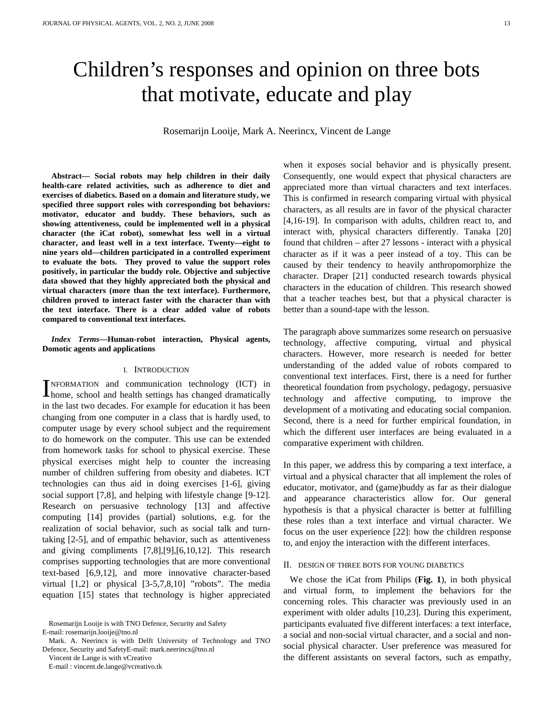# Children's responses and opinion on three bots that motivate, educate and play

Rosemarijn Looije, Mark A. Neerincx, Vincent de Lange

**Abstract— Social robots may help children in their daily health-care related activities, such as adherence to diet and exercises of diabetics. Based on a domain and literature study, we specified three support roles with corresponding bot behaviors: motivator, educator and buddy. These behaviors, such as showing attentiveness, could be implemented well in a physical character (the iCat robot), somewhat less well in a virtual character, and least well in a text interface. Twenty—eight to nine years old—children participated in a controlled experiment to evaluate the bots. They proved to value the support roles positively, in particular the buddy role. Objective and subjective data showed that they highly appreciated both the physical and virtual characters (more than the text interface). Furthermore, children proved to interact faster with the character than with the text interface. There is a clear added value of robots compared to conventional text interfaces.** 

*Index Terms***—Human-robot interaction, Physical agents, Domotic agents and applications** 

#### I. INTRODUCTION

NFORMATION and communication technology (ICT) in INFORMATION and communication technology (ICT) in home, school and health settings has changed dramatically in the last two decades. For example for education it has been changing from one computer in a class that is hardly used, to computer usage by every school subject and the requirement to do homework on the computer. This use can be extended from homework tasks for school to physical exercise. These physical exercises might help to counter the increasing number of children suffering from obesity and diabetes. ICT technologies can thus aid in doing exercises [1-6], giving social support [7,8], and helping with lifestyle change [9-12]. Research on persuasive technology [13] and affective computing [14] provides (partial) solutions, e.g. for the realization of social behavior, such as social talk and turntaking [2-5], and of empathic behavior, such as attentiveness and giving compliments [7,8],[9],[6,10,12]. This research comprises supporting technologies that are more conventional text-based [6,9,12], and more innovative character-based virtual [1,2] or physical [3-5,7,8,10] "robots". The media equation [15] states that technology is higher appreciated

Vincent de Lange is with vCreativo

E-mail : vincent.de.lange@vcreativo.tk

when it exposes social behavior and is physically present. Consequently, one would expect that physical characters are appreciated more than virtual characters and text interfaces. This is confirmed in research comparing virtual with physical characters, as all results are in favor of the physical character [4,16-19]. In comparison with adults, children react to, and interact with, physical characters differently. Tanaka [20] found that children – after 27 lessons - interact with a physical character as if it was a peer instead of a toy. This can be caused by their tendency to heavily anthropomorphize the character. Draper [21] conducted research towards physical characters in the education of children. This research showed that a teacher teaches best, but that a physical character is better than a sound-tape with the lesson.

The paragraph above summarizes some research on persuasive technology, affective computing, virtual and physical characters. However, more research is needed for better understanding of the added value of robots compared to conventional text interfaces. First, there is a need for further theoretical foundation from psychology, pedagogy, persuasive technology and affective computing, to improve the development of a motivating and educating social companion. Second, there is a need for further empirical foundation, in which the different user interfaces are being evaluated in a comparative experiment with children.

In this paper, we address this by comparing a text interface, a virtual and a physical character that all implement the roles of educator, motivator, and (game)buddy as far as their dialogue and appearance characteristics allow for. Our general hypothesis is that a physical character is better at fulfilling these roles than a text interface and virtual character. We focus on the user experience [22]: how the children response to, and enjoy the interaction with the different interfaces.

#### II. DESIGN OF THREE BOTS FOR YOUNG DIABETICS

We chose the iCat from Philips (**Fig. 1**), in both physical and virtual form, to implement the behaviors for the concerning roles. This character was previously used in an experiment with older adults [10,23]. During this experiment, participants evaluated five different interfaces: a text interface, a social and non-social virtual character, and a social and nonsocial physical character. User preference was measured for the different assistants on several factors, such as empathy,

Rosemarijn Looije is with TNO Defence, Security and Safety E-mail: rosemarijn.looije@tno.nl

Mark. A. Neerincx is with Delft University of Technology and TNO Defence, Security and SafetyE-mail: mark.neerincx@tno.nl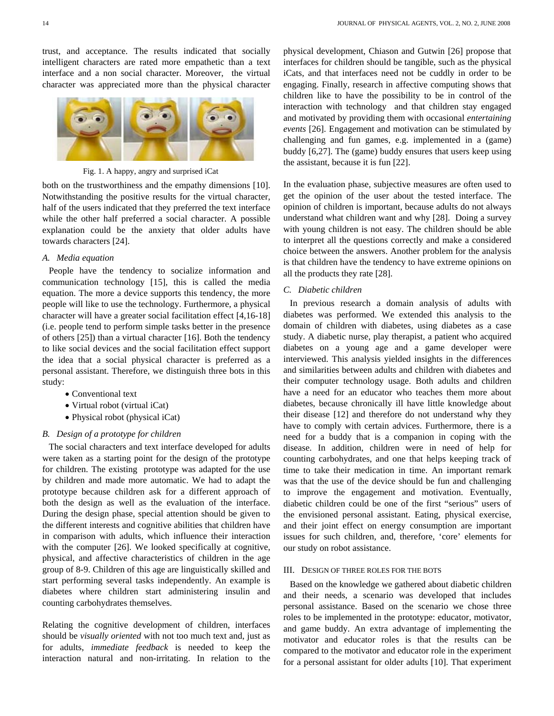trust, and acceptance. The results indicated that socially intelligent characters are rated more empathetic than a text interface and a non social character. Moreover, the virtual character was appreciated more than the physical character



Fig. 1. A happy, angry and surprised iCat

both on the trustworthiness and the empathy dimensions [10]. Notwithstanding the positive results for the virtual character, half of the users indicated that they preferred the text interface while the other half preferred a social character. A possible explanation could be the anxiety that older adults have towards characters [24].

## *A. Media equation*

People have the tendency to socialize information and communication technology [15], this is called the media equation. The more a device supports this tendency, the more people will like to use the technology. Furthermore, a physical character will have a greater social facilitation effect [4,16-18] (i.e. people tend to perform simple tasks better in the presence of others [25]) than a virtual character [16]. Both the tendency to like social devices and the social facilitation effect support the idea that a social physical character is preferred as a personal assistant. Therefore, we distinguish three bots in this study:

- Conventional text
- Virtual robot (virtual iCat)
- Physical robot (physical iCat)

## *B. Design of a prototype for children*

The social characters and text interface developed for adults were taken as a starting point for the design of the prototype for children. The existing prototype was adapted for the use by children and made more automatic. We had to adapt the prototype because children ask for a different approach of both the design as well as the evaluation of the interface. During the design phase, special attention should be given to the different interests and cognitive abilities that children have in comparison with adults, which influence their interaction with the computer [26]. We looked specifically at cognitive, physical, and affective characteristics of children in the age group of 8-9. Children of this age are linguistically skilled and start performing several tasks independently. An example is diabetes where children start administering insulin and counting carbohydrates themselves.

Relating the cognitive development of children, interfaces should be *visually oriented* with not too much text and, just as for adults, *immediate feedback* is needed to keep the interaction natural and non-irritating. In relation to the physical development, Chiason and Gutwin [26] propose that interfaces for children should be tangible, such as the physical iCats, and that interfaces need not be cuddly in order to be engaging. Finally, research in affective computing shows that children like to have the possibility to be in control of the interaction with technology and that children stay engaged and motivated by providing them with occasional *entertaining events* [26]. Engagement and motivation can be stimulated by challenging and fun games, e.g. implemented in a (game) buddy [6,27]. The (game) buddy ensures that users keep using the assistant, because it is fun [22].

In the evaluation phase, subjective measures are often used to get the opinion of the user about the tested interface. The opinion of children is important, because adults do not always understand what children want and why [28]. Doing a survey with young children is not easy. The children should be able to interpret all the questions correctly and make a considered choice between the answers. Another problem for the analysis is that children have the tendency to have extreme opinions on all the products they rate [28].

## *C. Diabetic children*

In previous research a domain analysis of adults with diabetes was performed. We extended this analysis to the domain of children with diabetes, using diabetes as a case study. A diabetic nurse, play therapist, a patient who acquired diabetes on a young age and a game developer were interviewed. This analysis yielded insights in the differences and similarities between adults and children with diabetes and their computer technology usage. Both adults and children have a need for an educator who teaches them more about diabetes, because chronically ill have little knowledge about their disease [12] and therefore do not understand why they have to comply with certain advices. Furthermore, there is a need for a buddy that is a companion in coping with the disease. In addition, children were in need of help for counting carbohydrates, and one that helps keeping track of time to take their medication in time. An important remark was that the use of the device should be fun and challenging to improve the engagement and motivation. Eventually, diabetic children could be one of the first "serious" users of the envisioned personal assistant. Eating, physical exercise, and their joint effect on energy consumption are important issues for such children, and, therefore, 'core' elements for our study on robot assistance.

#### III. DESIGN OF THREE ROLES FOR THE BOTS

Based on the knowledge we gathered about diabetic children and their needs, a scenario was developed that includes personal assistance. Based on the scenario we chose three roles to be implemented in the prototype: educator, motivator, and game buddy. An extra advantage of implementing the motivator and educator roles is that the results can be compared to the motivator and educator role in the experiment for a personal assistant for older adults [10]. That experiment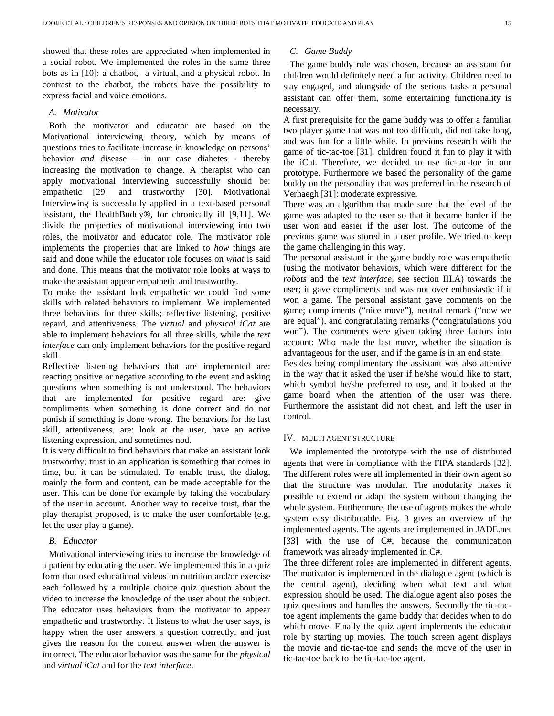showed that these roles are appreciated when implemented in a social robot. We implemented the roles in the same three bots as in [10]: a chatbot, a virtual, and a physical robot. In contrast to the chatbot, the robots have the possibility to express facial and voice emotions.

## *A. Motivator*

Both the motivator and educator are based on the Motivational interviewing theory, which by means of questions tries to facilitate increase in knowledge on persons' behavior *and* disease – in our case diabetes - thereby increasing the motivation to change. A therapist who can apply motivational interviewing successfully should be: empathetic [29] and trustworthy [30]. Motivational Interviewing is successfully applied in a text-based personal assistant, the HealthBuddy®, for chronically ill [9,11]. We divide the properties of motivational interviewing into two roles, the motivator and educator role. The motivator role implements the properties that are linked to *how* things are said and done while the educator role focuses on *what* is said and done. This means that the motivator role looks at ways to make the assistant appear empathetic and trustworthy.

To make the assistant look empathetic we could find some skills with related behaviors to implement. We implemented three behaviors for three skills; reflective listening, positive regard, and attentiveness. The *virtual* and *physical iCat* are able to implement behaviors for all three skills, while the *text interface* can only implement behaviors for the positive regard skill.

Reflective listening behaviors that are implemented are: reacting positive or negative according to the event and asking questions when something is not understood. The behaviors that are implemented for positive regard are: give compliments when something is done correct and do not punish if something is done wrong. The behaviors for the last skill, attentiveness, are: look at the user, have an active listening expression, and sometimes nod.

It is very difficult to find behaviors that make an assistant look trustworthy; trust in an application is something that comes in time, but it can be stimulated. To enable trust, the dialog, mainly the form and content, can be made acceptable for the user. This can be done for example by taking the vocabulary of the user in account. Another way to receive trust, that the play therapist proposed, is to make the user comfortable (e.g. let the user play a game).

## *B. Educator*

Motivational interviewing tries to increase the knowledge of a patient by educating the user. We implemented this in a quiz form that used educational videos on nutrition and/or exercise each followed by a multiple choice quiz question about the video to increase the knowledge of the user about the subject. The educator uses behaviors from the motivator to appear empathetic and trustworthy. It listens to what the user says, is happy when the user answers a question correctly, and just gives the reason for the correct answer when the answer is incorrect. The educator behavior was the same for the *physical*  and *virtual iCat* and for the *text interface*.

# *C. Game Buddy*

The game buddy role was chosen, because an assistant for children would definitely need a fun activity. Children need to stay engaged, and alongside of the serious tasks a personal assistant can offer them, some entertaining functionality is necessary.

A first prerequisite for the game buddy was to offer a familiar two player game that was not too difficult, did not take long, and was fun for a little while. In previous research with the game of tic-tac-toe [31], children found it fun to play it with the iCat. Therefore, we decided to use tic-tac-toe in our prototype. Furthermore we based the personality of the game buddy on the personality that was preferred in the research of Verhaegh [31]: moderate expressive.

There was an algorithm that made sure that the level of the game was adapted to the user so that it became harder if the user won and easier if the user lost. The outcome of the previous game was stored in a user profile. We tried to keep the game challenging in this way.

The personal assistant in the game buddy role was empathetic (using the motivator behaviors, which were different for the *robots* and the *text interface,* see section III.A) towards the user; it gave compliments and was not over enthusiastic if it won a game. The personal assistant gave comments on the game; compliments ("nice move"), neutral remark ("now we are equal"), and congratulating remarks ("congratulations you won"). The comments were given taking three factors into account: Who made the last move, whether the situation is advantageous for the user, and if the game is in an end state.

Besides being complimentary the assistant was also attentive in the way that it asked the user if he/she would like to start, which symbol he/she preferred to use, and it looked at the game board when the attention of the user was there. Furthermore the assistant did not cheat, and left the user in control.

# IV. MULTI AGENT STRUCTURE

We implemented the prototype with the use of distributed agents that were in compliance with the FIPA standards [32]. The different roles were all implemented in their own agent so that the structure was modular. The modularity makes it possible to extend or adapt the system without changing the whole system. Furthermore, the use of agents makes the whole system easy distributable. Fig. 3 gives an overview of the implemented agents. The agents are implemented in JADE.net [33] with the use of C#, because the communication framework was already implemented in C#.

The three different roles are implemented in different agents. The motivator is implemented in the dialogue agent (which is the central agent), deciding when what text and what expression should be used. The dialogue agent also poses the quiz questions and handles the answers. Secondly the tic-tactoe agent implements the game buddy that decides when to do which move. Finally the quiz agent implements the educator role by starting up movies. The touch screen agent displays the movie and tic-tac-toe and sends the move of the user in tic-tac-toe back to the tic-tac-toe agent.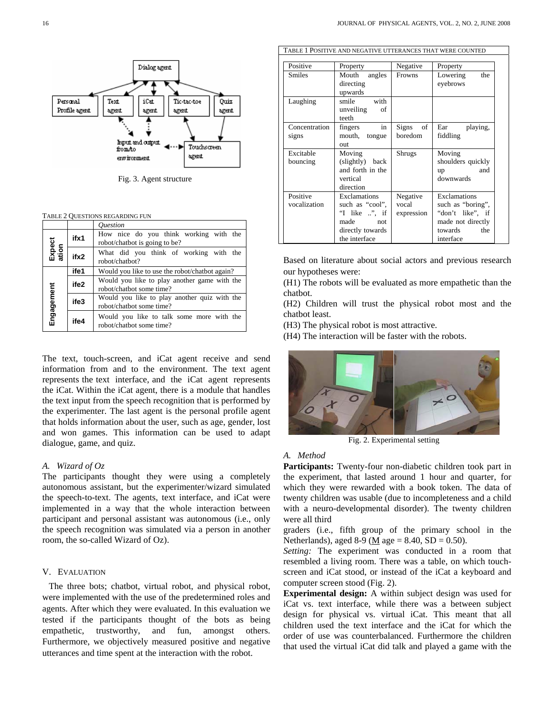

Fig. 3. Agent structure

| TABLE 2 QUESTIONS REGARDING FUN |
|---------------------------------|
|---------------------------------|

|                 |      | <i><u><b>Ouestion</b></u></i>                                            |  |  |  |  |
|-----------------|------|--------------------------------------------------------------------------|--|--|--|--|
|                 | ifx1 | How nice do you think working with the<br>robot/chatbot is going to be?  |  |  |  |  |
| Expect<br>ation | ifx2 | What did you think of working with the<br>robot/chatbot?                 |  |  |  |  |
|                 | ife1 | Would you like to use the robot/chatbot again?                           |  |  |  |  |
|                 | ife2 | Would you like to play another game with the<br>robot/chatbot some time? |  |  |  |  |
| Engagement      | ife3 | Would you like to play another quiz with the<br>robot/chatbot some time? |  |  |  |  |
|                 | ife4 | Would you like to talk some more with the<br>robot/chatbot some time?    |  |  |  |  |

The text, touch-screen, and iCat agent receive and send information from and to the environment. The text agent represents the text interface, and the iCat agent represents the iCat. Within the iCat agent, there is a module that handles the text input from the speech recognition that is performed by the experimenter. The last agent is the personal profile agent that holds information about the user, such as age, gender, lost and won games. This information can be used to adapt dialogue, game, and quiz.

#### *A. Wizard of Oz*

The participants thought they were using a completely autonomous assistant, but the experimenter/wizard simulated the speech-to-text. The agents, text interface, and iCat were implemented in a way that the whole interaction between participant and personal assistant was autonomous (i.e., only the speech recognition was simulated via a person in another room, the so-called Wizard of Oz).

# V. EVALUATION

The three bots; chatbot, virtual robot, and physical robot, were implemented with the use of the predetermined roles and agents. After which they were evaluated. In this evaluation we tested if the participants thought of the bots as being empathetic, trustworthy, and fun, amongst others. Furthermore, we objectively measured positive and negative utterances and time spent at the interaction with the robot.

| Positive                                                                                        | Property                                                                                                       | Negative                        | Property                                                                                                  |  |
|-------------------------------------------------------------------------------------------------|----------------------------------------------------------------------------------------------------------------|---------------------------------|-----------------------------------------------------------------------------------------------------------|--|
| <b>Smiles</b>                                                                                   | Mouth<br>angles<br>directing<br>upwards                                                                        | <b>Frowns</b>                   | the<br>Lowering<br>eyebrows                                                                               |  |
| Laughing                                                                                        | smile with<br>unveiling<br>οf<br>teeth                                                                         |                                 |                                                                                                           |  |
| Concentration<br>signs                                                                          | in<br>fingers<br>mouth, tongue<br>out                                                                          | Signs of<br>boredom             | Ear<br>playing,<br>fiddling                                                                               |  |
| Excitable<br>Moving<br>(slightly) back<br>bouncing<br>and forth in the<br>vertical<br>direction |                                                                                                                | Shrugs                          | Moving<br>shoulders quickly<br>and<br>up<br>downwards                                                     |  |
| Positive<br>vocalization                                                                        | Exclamations<br>such as "cool",<br>"I like $\therefore$ ", if<br>made not<br>directly towards<br>the interface | Negative<br>vocal<br>expression | Exclamations<br>such as "boring",<br>"don't like", if<br>made not directly<br>towards<br>the<br>interface |  |

TABLE 1 POSITIVE AND NEGATIVE UTTERANCES THAT WERE COUNTED

Based on literature about social actors and previous research our hypotheses were:

(H1) The robots will be evaluated as more empathetic than the chatbot.

(H2) Children will trust the physical robot most and the chatbot least.

(H3) The physical robot is most attractive.

(H4) The interaction will be faster with the robots.



Fig. 2. Experimental setting

#### *A. Method*

**Participants:** Twenty-four non-diabetic children took part in the experiment, that lasted around 1 hour and quarter, for which they were rewarded with a book token. The data of twenty children was usable (due to incompleteness and a child with a neuro-developmental disorder). The twenty children were all third

graders (i.e., fifth group of the primary school in the Netherlands), aged 8-9 ( $\underline{M}$  age = 8.40, SD = 0.50).

*Setting:* The experiment was conducted in a room that resembled a living room. There was a table, on which touchscreen and iCat stood, or instead of the iCat a keyboard and computer screen stood (Fig. 2).

**Experimental design:** A within subject design was used for iCat vs. text interface, while there was a between subject design for physical vs. virtual iCat. This meant that all children used the text interface and the iCat for which the order of use was counterbalanced. Furthermore the children that used the virtual iCat did talk and played a game with the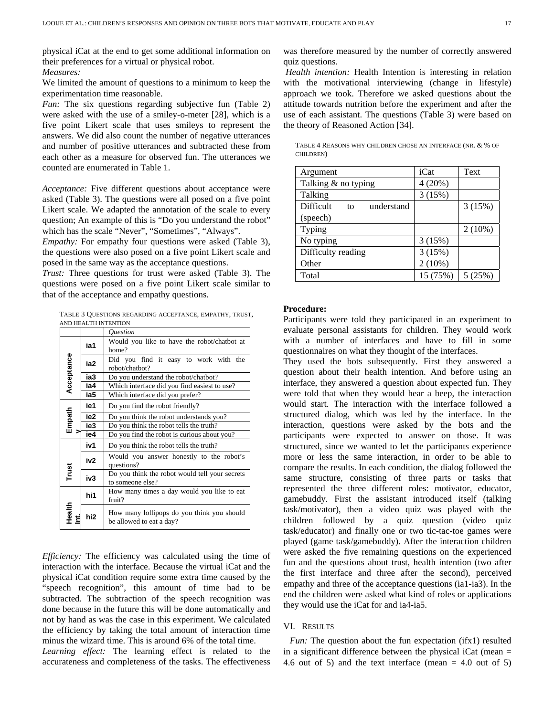physical iCat at the end to get some additional information on their preferences for a virtual or physical robot.

*Measures:* 

We limited the amount of questions to a minimum to keep the experimentation time reasonable.

*Fun:* The six questions regarding subjective fun (Table 2) were asked with the use of a smiley-o-meter [28], which is a five point Likert scale that uses smileys to represent the answers. We did also count the number of negative utterances and number of positive utterances and subtracted these from each other as a measure for observed fun. The utterances we counted are enumerated in Table 1.

*Acceptance:* Five different questions about acceptance were asked (Table 3). The questions were all posed on a five point Likert scale. We adapted the annotation of the scale to every question; An example of this is "Do you understand the robot" which has the scale "Never", "Sometimes", "Always".

*Empathy:* For empathy four questions were asked (Table 3), the questions were also posed on a five point Likert scale and posed in the same way as the acceptance questions.

*Trust:* Three questions for trust were asked (Table 3). The questions were posed on a five point Likert scale similar to that of the acceptance and empathy questions.

TABLE 3 QUESTIONS REGARDING ACCEPTANCE, EMPATHY, TRUST, AND HEALTH INTENTION

|               |                 | ,,,,,,,,,,,,,,,,,,,,,,,,,<br><i><u><b>Ouestion</b></u></i>             |  |  |  |  |
|---------------|-----------------|------------------------------------------------------------------------|--|--|--|--|
| Acceptance    | ia1             | Would you like to have the robot/chatbot at<br>home?                   |  |  |  |  |
|               | ia2             | Did you find it easy to work with the<br>robot/chatbot?                |  |  |  |  |
|               | ia3             | Do you understand the robot/chatbot?                                   |  |  |  |  |
|               | ia4             | Which interface did you find easiest to use?                           |  |  |  |  |
|               | ia5             | Which interface did you prefer?                                        |  |  |  |  |
| Empath        | ie1             | Do you find the robot friendly?                                        |  |  |  |  |
|               | ie2             | Do you think the robot understands you?                                |  |  |  |  |
|               | ie3             | Do you think the robot tells the truth?                                |  |  |  |  |
|               | ie4             | Do you find the robot is curious about you?                            |  |  |  |  |
|               | iv1             | Do you think the robot tells the truth?                                |  |  |  |  |
|               | iv2             | Would you answer honestly to the robot's<br>questions?                 |  |  |  |  |
| Trust         | iv3             | Do you think the robot would tell your secrets<br>to someone else?     |  |  |  |  |
|               | hi1             | How many times a day would you like to eat<br>fruit?                   |  |  |  |  |
| <b>Health</b> | hi <sub>2</sub> | How many lollipops do you think you should<br>be allowed to eat a day? |  |  |  |  |

*Efficiency:* The efficiency was calculated using the time of interaction with the interface. Because the virtual iCat and the physical iCat condition require some extra time caused by the "speech recognition", this amount of time had to be subtracted. The subtraction of the speech recognition was done because in the future this will be done automatically and not by hand as was the case in this experiment. We calculated the efficiency by taking the total amount of interaction time minus the wizard time. This is around 6% of the total time. *Learning effect:* The learning effect is related to the accurateness and completeness of the tasks. The effectiveness was therefore measured by the number of correctly answered quiz questions.

 *Health intention:* Health Intention is interesting in relation with the motivational interviewing (change in lifestyle) approach we took. Therefore we asked questions about the attitude towards nutrition before the experiment and after the use of each assistant. The questions (Table 3) were based on the theory of Reasoned Action [34].

TABLE 4 REASONS WHY CHILDREN CHOSE AN INTERFACE (NR. & % OF CHILDREN)

| Argument                      | iCat      | Text      |
|-------------------------------|-----------|-----------|
| Talking & no typing           | 4(20%)    |           |
| Talking                       | 3(15%)    |           |
| Difficult<br>understand<br>to |           | 3(15%)    |
| (speech)                      |           |           |
| Typing                        |           | $2(10\%)$ |
| No typing                     | 3(15%)    |           |
| Difficulty reading            | 3(15%)    |           |
| Other                         | $2(10\%)$ |           |
| Total                         | 15 (75%)  | 5(25%)    |

### **Procedure:**

Participants were told they participated in an experiment to evaluate personal assistants for children. They would work with a number of interfaces and have to fill in some questionnaires on what they thought of the interfaces.

They used the bots subsequently. First they answered a question about their health intention. And before using an interface, they answered a question about expected fun. They were told that when they would hear a beep, the interaction would start. The interaction with the interface followed a structured dialog, which was led by the interface. In the interaction, questions were asked by the bots and the participants were expected to answer on those. It was structured, since we wanted to let the participants experience more or less the same interaction, in order to be able to compare the results. In each condition, the dialog followed the same structure, consisting of three parts or tasks that represented the three different roles: motivator, educator, gamebuddy. First the assistant introduced itself (talking task/motivator), then a video quiz was played with the children followed by a quiz question (video quiz task/educator) and finally one or two tic-tac-toe games were played (game task/gamebuddy). After the interaction children were asked the five remaining questions on the experienced fun and the questions about trust, health intention (two after the first interface and three after the second), perceived empathy and three of the acceptance questions (ia1-ia3). In the end the children were asked what kind of roles or applications they would use the iCat for and ia4-ia5.

# VI. RESULTS

*Fun:* The question about the fun expectation (ifx1) resulted in a significant difference between the physical  $iCat$  (mean  $=$ 4.6 out of 5) and the text interface (mean  $=$  4.0 out of 5)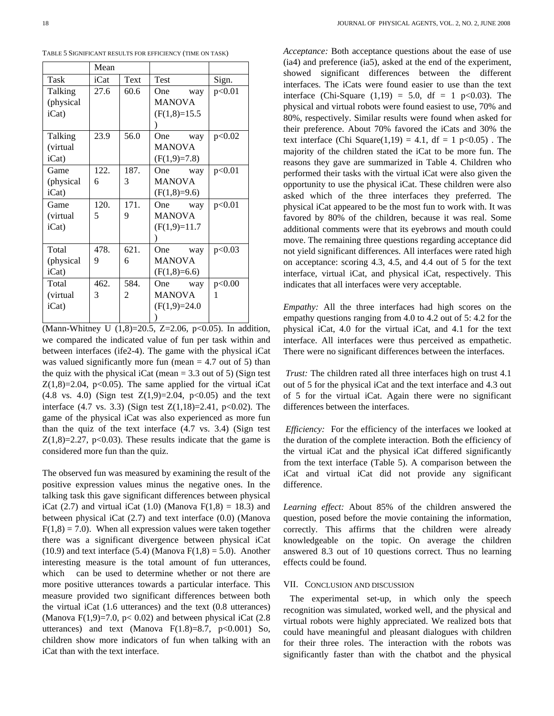TABLE 5 SIGNIFICANT RESULTS FOR EFFICIENCY (TIME ON TASK)

|                  | Mean |                |                |        |
|------------------|------|----------------|----------------|--------|
| Task             | iCat | Text           | <b>Test</b>    | Sign.  |
| Talking          | 27.6 | 60.6           | One<br>way     | p<0.01 |
| (physical        |      |                | <b>MANOVA</b>  |        |
| iCat)            |      |                | $(F(1,8)=15.5$ |        |
|                  |      |                |                |        |
| Talking          | 23.9 | 56.0           | One way        | p<0.02 |
| (virtual         |      |                | <b>MANOVA</b>  |        |
| $iCat$ )         |      |                | $(F(1,9)=7.8)$ |        |
| Game             | 122. | 187.           | One way        | p<0.01 |
| (physical)       | 6    | 3              | <b>MANOVA</b>  |        |
| $iCat$ )         |      |                | $(F(1,8)=9.6)$ |        |
| Game             | 120. | 171.           | One way        | p<0.01 |
| <i>(virtual)</i> | 5    | 9              | <b>MANOVA</b>  |        |
| iCat)            |      |                | $(F(1,9)=11.7$ |        |
|                  |      |                |                |        |
| Total            | 478. | 621.           | One way        | p<0.03 |
| (physical)       | 9    | 6              | <b>MANOVA</b>  |        |
| iCat             |      |                | $(F(1,8)=6.6)$ |        |
| Total            | 462. | 584.           | One way        | p<0.00 |
| (virtual)        | 3    | $\overline{2}$ | <b>MANOVA</b>  | 1      |
| iCat)            |      |                | $(F(1,9)=24.0$ |        |
|                  |      |                |                |        |

(Mann-Whitney U (1,8)=20.5, Z=2.06, p<0.05). In addition, we compared the indicated value of fun per task within and between interfaces (ife2-4). The game with the physical iCat was valued significantly more fun (mean  $= 4.7$  out of 5) than the quiz with the physical iCat (mean  $= 3.3$  out of 5) (Sign test  $Z(1,8)=2.04$ , p<0.05). The same applied for the virtual iCat  $(4.8 \text{ vs. } 4.0)$  (Sign test  $Z(1,9)=2.04$ ,  $p<0.05$ ) and the text interface  $(4.7 \text{ vs. } 3.3)$  (Sign test  $Z(1,18)=2.41$ , p<0.02). The game of the physical iCat was also experienced as more fun than the quiz of the text interface (4.7 vs. 3.4) (Sign test  $Z(1,8)=2.27$ , p<0.03). These results indicate that the game is considered more fun than the quiz.

The observed fun was measured by examining the result of the positive expression values minus the negative ones. In the talking task this gave significant differences between physical iCat (2.7) and virtual iCat (1.0) (Manova  $F(1,8) = 18.3$ ) and between physical iCat (2.7) and text interface (0.0) (Manova  $F(1,8) = 7.0$ . When all expression values were taken together there was a significant divergence between physical iCat (10.9) and text interface (5.4) (Manova  $F(1,8) = 5.0$ ). Another interesting measure is the total amount of fun utterances, which can be used to determine whether or not there are more positive utterances towards a particular interface. This measure provided two significant differences between both the virtual iCat (1.6 utterances) and the text (0.8 utterances) (Manova F(1,9)=7.0, p< 0.02) and between physical iCat (2.8) utterances) and text (Manova  $F(1.8)=8.7$ ,  $p<0.001$ ) So, children show more indicators of fun when talking with an iCat than with the text interface.

*Acceptance:* Both acceptance questions about the ease of use (ia4) and preference (ia5), asked at the end of the experiment, showed significant differences between the different interfaces. The iCats were found easier to use than the text interface (Chi-Square  $(1,19) = 5.0$ , df = 1 p<0.03). The physical and virtual robots were found easiest to use, 70% and 80%, respectively. Similar results were found when asked for their preference. About 70% favored the iCats and 30% the text interface (Chi Square(1,19) = 4.1, df = 1 p<0.05). The majority of the children stated the iCat to be more fun. The reasons they gave are summarized in Table 4. Children who performed their tasks with the virtual iCat were also given the opportunity to use the physical iCat. These children were also asked which of the three interfaces they preferred. The physical iCat appeared to be the most fun to work with. It was favored by 80% of the children, because it was real. Some additional comments were that its eyebrows and mouth could move. The remaining three questions regarding acceptance did not yield significant differences. All interfaces were rated high on acceptance: scoring 4.3, 4.5, and 4.4 out of 5 for the text interface, virtual iCat, and physical iCat, respectively. This indicates that all interfaces were very acceptable.

*Empathy:* All the three interfaces had high scores on the empathy questions ranging from 4.0 to 4.2 out of 5: 4.2 for the physical iCat, 4.0 for the virtual iCat, and 4.1 for the text interface. All interfaces were thus perceived as empathetic. There were no significant differences between the interfaces.

 *Trust:* The children rated all three interfaces high on trust 4.1 out of 5 for the physical iCat and the text interface and 4.3 out of 5 for the virtual iCat. Again there were no significant differences between the interfaces.

*Efficiency:* For the efficiency of the interfaces we looked at the duration of the complete interaction. Both the efficiency of the virtual iCat and the physical iCat differed significantly from the text interface (Table 5). A comparison between the iCat and virtual iCat did not provide any significant difference.

*Learning effect:* About 85% of the children answered the question, posed before the movie containing the information, correctly. This affirms that the children were already knowledgeable on the topic. On average the children answered 8.3 out of 10 questions correct. Thus no learning effects could be found.

## VII. CONCLUSION AND DISCUSSION

The experimental set-up, in which only the speech recognition was simulated, worked well, and the physical and virtual robots were highly appreciated. We realized bots that could have meaningful and pleasant dialogues with children for their three roles. The interaction with the robots was significantly faster than with the chatbot and the physical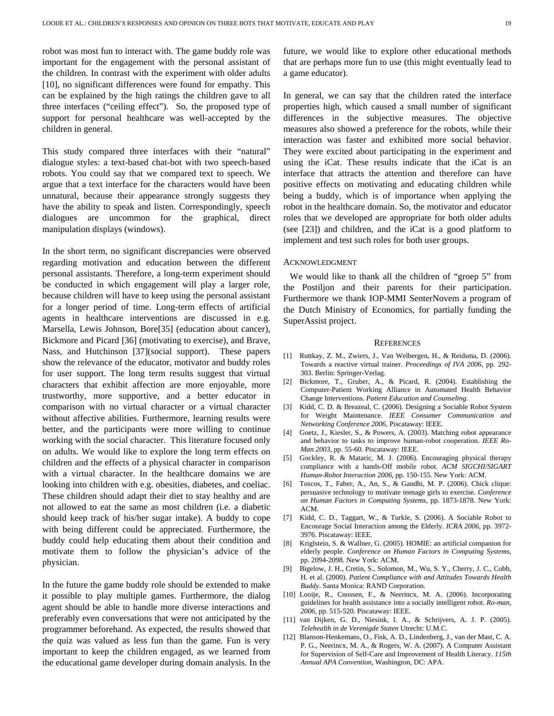robot was most fun to interact with. The game buddy role was important for the engagement with the personal assistant of the children. In contrast with the experiment with older adults [10], no significant differences were found for empathy. This can be explained by the high ratings the children gave to all three interfaces ("ceiling effect"). So, the proposed type of support for personal healthcare was well-accepted by the children in general.

This study compared three interfaces with their "natural" dialogue styles: a text-based chat-bot with two speech-based robots. You could say that we compared text to speech. We argue that a text interface for the characters would have been unnatural, because their appearance strongly suggests they have the ability to speak and listen. Correspondingly, speech dialogues are uncommon for the graphical, direct manipulation displays (windows).

In the short term, no significant discrepancies were observed regarding motivation and education between the different personal assistants. Therefore, a long-term experiment should be conducted in which engagement will play a larger role, because children will have to keep using the personal assistant for a longer period of time. Long-term effects of artificial agents in healthcare interventions are discussed in e.g. Marsella, Lewis Johnson, Bore[35] (education about cancer), Bickmore and Picard [36] (motivating to exercise), and Brave, Nass, and Hutchinson [37](social support). These papers show the relevance of the educator, motivator and buddy roles for user support. The long term results suggest that virtual characters that exhibit affection are more enjoyable, more trustworthy, more supportive, and a better educator in comparison with no virtual character or a virtual character without affective abilities. Furthermore, learning results were better, and the participants were more willing to continue working with the social character. This literature focused only on adults. We would like to explore the long term effects on children and the effects of a physical character in comparison with a virtual character. In the healthcare domains we are looking into children with e.g. obesities, diabetes, and coeliac. These children should adapt their diet to stay healthy and are not allowed to eat the same as most children (i.e. a diabetic should keep track of his/her sugar intake). A buddy to cope with being different could be appreciated. Furthermore, the buddy could help educating them about their condition and motivate them to follow the physician's advice of the physician.

In the future the game buddy role should be extended to make it possible to play multiple games. Furthermore, the dialog agent should be able to handle more diverse interactions and preferably even conversations that were not anticipated by the programmer beforehand. As expected, the results showed that the quiz was valued as less fun than the game. Fun is very important to keep the children engaged, as we learned from the educational game developer during domain analysis. In the future, we would like to explore other educational methods that are perhaps more fun to use (this might eventually lead to a game educator).

In general, we can say that the children rated the interface properties high, which caused a small number of significant differences in the subjective measures. The objective measures also showed a preference for the robots, while their interaction was faster and exhibited more social behavior. They were excited about participating in the experiment and using the iCat. These results indicate that the iCat is an interface that attracts the attention and therefore can have positive effects on motivating and educating children while being a buddy, which is of importance when applying the robot in the healthcare domain. So, the motivator and educator roles that we developed are appropriate for both older adults (see [23]) and children, and the iCat is a good platform to implement and test such roles for both user groups.

## ACKNOWLEDGMENT

We would like to thank all the children of "groep 5" from the Postiljon and their parents for their participation. Furthermore we thank IOP-MMI SenterNovem a program of the Dutch Ministry of Economics, for partially funding the SuperAssist project.

#### **REFERENCES**

- [1] Ruttkay, Z. M., Zwiers, J., Van Welbergen, H., & Reidsma, D. (2006). Towards a reactive virtual trainer. *Proceedings of IVA 2006*, pp. 292- 303. Berlin: Springer-Verlag.
- [2] Bickmore, T., Gruber, A., & Picard, R. (2004). Establishing the Computer-Patient Working Alliance in Automated Health Behavior Change Interventions. *Patient Education and Counseling*.
- [3] Kidd, C. D. & Breazeal, C. (2006). Designing a Sociable Robot System for Weight Maintenance. *IEEE Consumer Communication and Networking Conference 2006*, Piscataway: IEEE.
- [4] Goetz, J., Kiesler, S., & Powers, A. (2003). Matching robot appearance and behavior to tasks to improve human-robot cooperation. *IEEE Ro-Man 2003*, pp. 55-60. Piscataway: IEEE.
- [5] Gockley, R. & Mataric, M. J. (2006). Encouraging physical therapy compliance with a hands-Off mobile robot. *ACM SIGCHI/SIGART Human-Robot Interaction 2006*, pp. 150-155. New York: ACM.
- [6] Toscos, T., Faber, A., An, S., & Gandhi, M. P. (2006). Chick clique: persuasive technology to motivate teenage girls to exercise. *Conference on Human Factors in Computing Systems*, pp. 1873-1878. New York: ACM.
- [7] Kidd, C. D., Taggart, W., & Turkle, S. (2006). A Sociable Robot to Encourage Social Interaction among the Elderly. *ICRA 2006*, pp. 3972- 3976. Piscataway: IEEE.
- [8] Kriglstein, S. & Wallner, G. (2005). HOMIE: an artificial companion for elderly people. *Conference on Human Factors in Computing Systems*, pp. 2094-2098. New York: ACM.
- [9] Bigelow, J. H., Cretin, S., Solomon, M., Wu, S. Y., Cherry, J. C., Cobb, H. et al. (2000). *Patient Compliance with and Attitudes Towards Health Buddy*. Santa Monica: RAND Corporation.
- [10] Looije, R., Cnossen, F., & Neerincx, M. A. (2006). Incorporating guidelines for health assistance into a socially intelligent robot. *Ro-man, 2006*, pp. 515-520. Piscataway: IEEE.
- [11] van Dijken, G. D., Niesink, I. A., & Schrijvers, A. J. P. (2005). *Telehealth in de Verenigde Staten* Utrecht: U.M.C.
- [12] Blanson-Henkemans, O., Fisk, A. D., Lindenberg, J., van der Mast, C. A. P. G., Neerincx, M. A., & Rogers, W. A. (2007). A Computer Assistant for Supervision of Self-Care and Improvement of Health Literacy. *115th Annual APA Convention*, Washington, DC: APA.